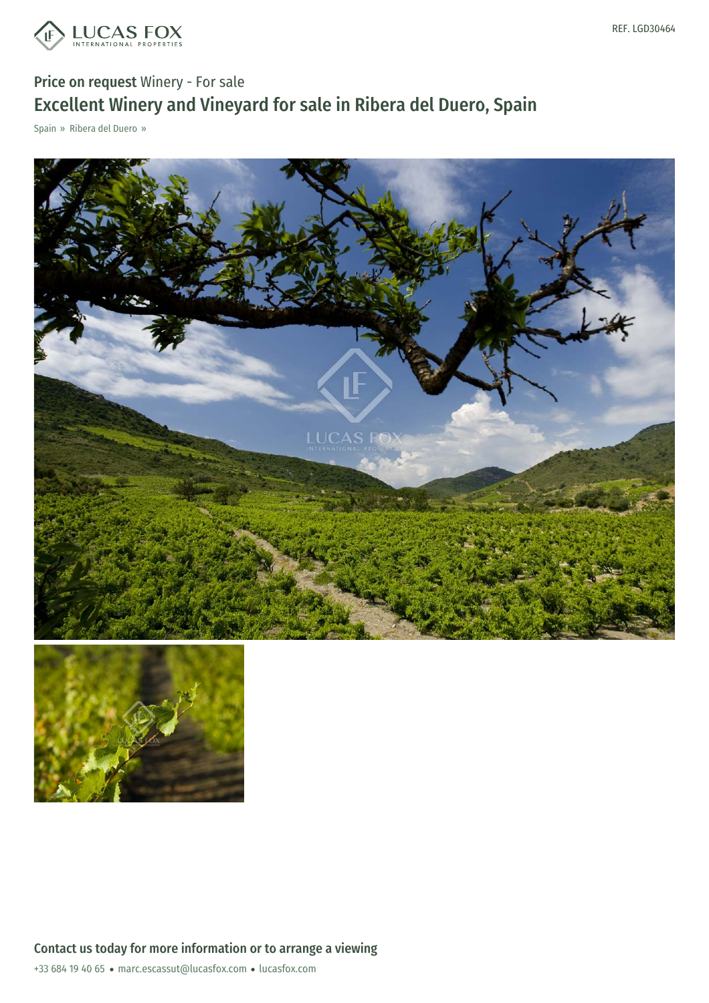

## Price on request Winery - For sale Excellent Winery and Vineyard for sale in Ribera del Duero, Spain

Spain » Ribera del Duero »





+33 684 19 40 65 · marc.escassut@lucasfox.com · lucasfox.com Contact us today for more information or to arrange a viewing